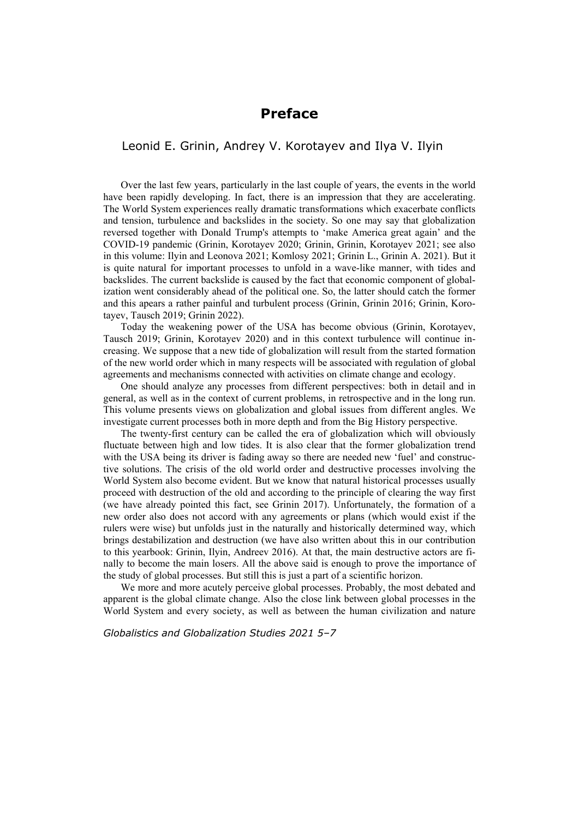## **Preface**

## Leonid E. Grinin, Andrey V. Korotayev and Ilya V. Ilyin

Over the last few years, particularly in the last couple of years, the events in the world have been rapidly developing. In fact, there is an impression that they are accelerating. The World System experiences really dramatic transformations which exacerbate conflicts and tension, turbulence and backslides in the society. So one may say that globalization reversed together with Donald Trump's attempts to 'make America great again' and the COVID-19 pandemic (Grinin, Korotayev 2020; Grinin, Grinin, Korotayev 2021; see also in this volume: Ilyin and Leonova 2021; Komlosy 2021; Grinin L., Grinin A. 2021). But it is quite natural for important processes to unfold in a wave-like manner, with tides and backslides. The current backslide is caused by the fact that economic component of globalization went considerably ahead of the political one. So, the latter should catch the former and this apears a rather painful and turbulent process (Grinin, Grinin 2016; Grinin, Korotayev, Tausch 2019; Grinin 2022).

Today the weakening power of the USA has become obvious (Grinin, Korotayev, Tausch 2019; Grinin, Korotayev 2020) and in this context turbulence will continue increasing. We suppose that a new tide of globalization will result from the started formation of the new world order which in many respects will be associated with regulation of global agreements and mechanisms connected with activities on climate change and ecology.

One should analyze any processes from different perspectives: both in detail and in general, as well as in the context of current problems, in retrospective and in the long run. This volume presents views on globalization and global issues from different angles. We investigate current processes both in more depth and from the Big History perspective.

The twenty-first century can be called the era of globalization which will obviously fluctuate between high and low tides. It is also clear that the former globalization trend with the USA being its driver is fading away so there are needed new 'fuel' and constructive solutions. The crisis of the old world order and destructive processes involving the World System also become evident. But we know that natural historical processes usually proceed with destruction of the old and according to the principle of clearing the way first (we have already pointed this fact, see Grinin 2017). Unfortunately, the formation of a new order also does not accord with any agreements or plans (which would exist if the rulers were wise) but unfolds just in the naturally and historically determined way, which brings destabilization and destruction (we have also written about this in our contribution to this yearbook: Grinin, Ilyin, Andreev 2016). At that, the main destructive actors are finally to become the main losers. All the above said is enough to prove the importance of the study of global processes. But still this is just a part of a scientific horizon.

We more and more acutely perceive global processes. Probably, the most debated and apparent is the global climate change. Also the close link between global processes in the World System and every society, as well as between the human civilization and nature

*Globalistics and Globalization Studies 2021 5–7*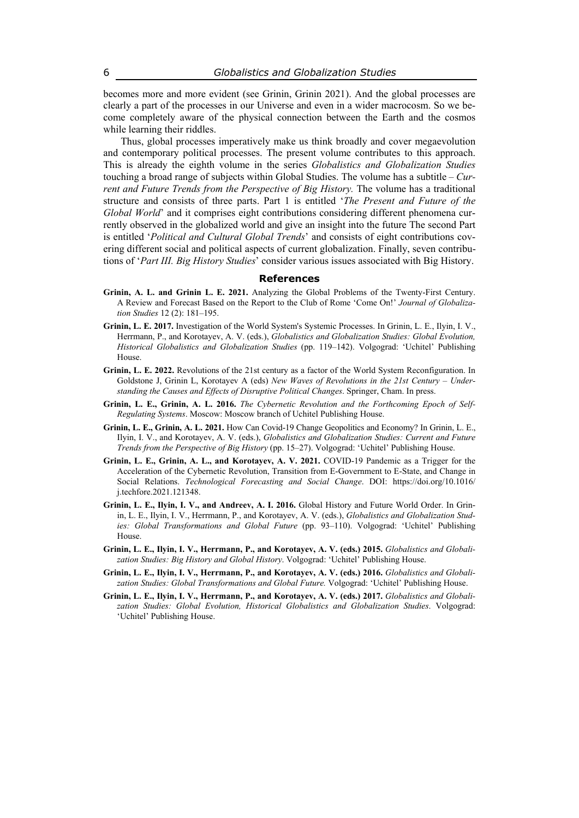becomes more and more evident (see Grinin, Grinin 2021). And the global processes are clearly a part of the processes in our Universe and even in a wider macrocosm. So we become completely aware of the physical connection between the Earth and the cosmos while learning their riddles.

Thus, global processes imperatively make us think broadly and cover megaevolution and contemporary political processes. The present volume contributes to this approach. This is already the eighth volume in the series *Globalistics and Globalization Studies*  touching a broad range of subjects within Global Studies. The volume has a subtitle – *Current and Future Trends from the Perspective of Big History.* The volume has a traditional structure and consists of three parts. Part 1 is entitled '*The Present and Future of the Global World*' and it comprises eight contributions considering different phenomena currently observed in the globalized world and give an insight into the future The second Part is entitled '*Political and Cultural Global Trends*' and consists of eight contributions covering different social and political aspects of current globalization. Finally, seven contributions of '*Part III. Big History Studies*' consider various issues associated with Big History.

## **References**

- **Grinin, A. L. and Grinin L. E. 2021.** Analyzing the Global Problems of the Twenty-First Century. A Review and Forecast Based on the Report to the Club of Rome 'Come On!' *Journal of Globalization Studies* 12 (2): 181–195.
- **Grinin, L. E. 2017.** Investigation of the World System's Systemic Processes. In Grinin, L. E., Ilyin, I. V., Herrmann, P., and Korotayev, A. V. (eds.), *Globalistics and Globalization Studies: Global Evolution, Historical Globalistics and Globalization Studies* (pp. 119–142). Volgograd: 'Uchitel' Publishing House.
- **Grinin, L. E. 2022.** Revolutions of the 21st century as a factor of the World System Reconfiguration. In Goldstone J, Grinin L, Korotayev A (eds) *New Waves of Revolutions in the 21st Century – Understanding the Causes and Effects of Disruptive Political Changes*. Springer, Cham. In press.
- **Grinin, L. E., Grinin, A. L. 2016.** *The Cybernetic Revolution and the Forthcoming Epoch of Self-Regulating Systems*. Moscow: Moscow branch of Uchitel Publishing House.
- **Grinin, L. E., Grinin, A. L. 2021.** How Can Covid-19 Change Geopolitics and Economy? In Grinin, L. E., Ilyin, I. V., and Korotayev, A. V. (eds.), *Globalistics and Globalization Studies: Current and Future Trends from the Perspective of Big History* (pp. 15–27). Volgograd: 'Uchitel' Publishing House.
- **Grinin, L. E., Grinin, A. L., and Korotayev, A. V. 2021.** COVID-19 Pandemic as a Trigger for the Acceleration of the Cybernetic Revolution, Transition from E-Government to E-State, and Change in Social Relations. *Technological Forecasting and Social Change*. DOI: https://doi.org/10.1016/ j.techfore.2021.121348.
- **Grinin, L. E., Ilyin, I. V., and Andreev, A. I. 2016.** Global History and Future World Order. In Grinin, L. E., Ilyin, I. V., Herrmann, P., and Korotayev, A. V. (eds.), *Globalistics and Globalization Studies: Global Transformations and Global Future* (pp. 93–110). Volgograd: 'Uchitel' Publishing House.
- **Grinin, L. E., Ilyin, I. V., Herrmann, P., and Korotayev, A. V. (eds.) 2015.** *Globalistics and Globalization Studies: Big History and Global History*. Volgograd: 'Uchitel' Publishing House.
- **Grinin, L. E., Ilyin, I. V., Herrmann, P., and Korotayev, A. V. (eds.) 2016.** *Globalistics and Globali*zation Studies: Global Transformations and Global Future. Volgograd: 'Uchitel' Publishing House.
- **Grinin, L. E., Ilyin, I. V., Herrmann, P., and Korotayev, A. V. (eds.) 2017.** *Globalistics and Globalization Studies: Global Evolution, Historical Globalistics and Globalization Studies*. Volgograd: 'Uchitel' Publishing House.